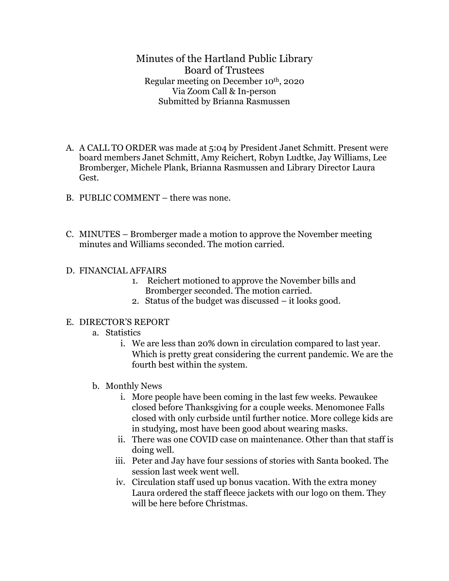Minutes of the Hartland Public Library Board of Trustees Regular meeting on December 10th, 2020 Via Zoom Call & In-person Submitted by Brianna Rasmussen

- A. A CALL TO ORDER was made at 5:04 by President Janet Schmitt. Present were board members Janet Schmitt, Amy Reichert, Robyn Ludtke, Jay Williams, Lee Bromberger, Michele Plank, Brianna Rasmussen and Library Director Laura Gest.
- B. PUBLIC COMMENT there was none.
- C. MINUTES Bromberger made a motion to approve the November meeting minutes and Williams seconded. The motion carried.
- D. FINANCIAL AFFAIRS
	- 1. Reichert motioned to approve the November bills and Bromberger seconded. The motion carried.
	- 2. Status of the budget was discussed it looks good.

## E. DIRECTOR'S REPORT

- a. Statistics
	- i. We are less than 20% down in circulation compared to last year. Which is pretty great considering the current pandemic. We are the fourth best within the system.
- b. Monthly News
	- i. More people have been coming in the last few weeks. Pewaukee closed before Thanksgiving for a couple weeks. Menomonee Falls closed with only curbside until further notice. More college kids are in studying, most have been good about wearing masks.
	- ii. There was one COVID case on maintenance. Other than that staff is doing well.
	- iii. Peter and Jay have four sessions of stories with Santa booked. The session last week went well.
	- iv. Circulation staff used up bonus vacation. With the extra money Laura ordered the staff fleece jackets with our logo on them. They will be here before Christmas.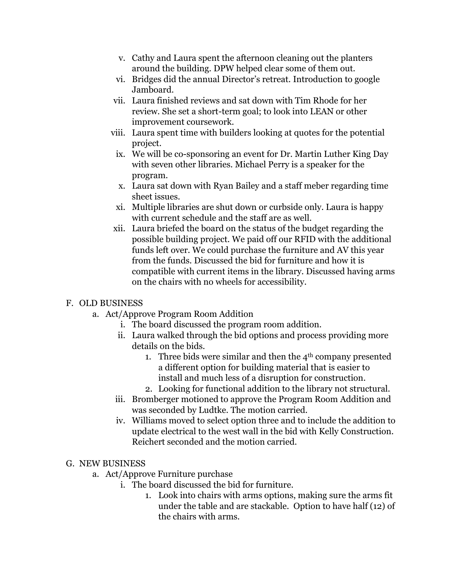- v. Cathy and Laura spent the afternoon cleaning out the planters around the building. DPW helped clear some of them out.
- vi. Bridges did the annual Director's retreat. Introduction to google Jamboard.
- vii. Laura finished reviews and sat down with Tim Rhode for her review. She set a short-term goal; to look into LEAN or other improvement coursework.
- viii. Laura spent time with builders looking at quotes for the potential project.
- ix. We will be co-sponsoring an event for Dr. Martin Luther King Day with seven other libraries. Michael Perry is a speaker for the program.
- x. Laura sat down with Ryan Bailey and a staff meber regarding time sheet issues.
- xi. Multiple libraries are shut down or curbside only. Laura is happy with current schedule and the staff are as well.
- xii. Laura briefed the board on the status of the budget regarding the possible building project. We paid off our RFID with the additional funds left over. We could purchase the furniture and AV this year from the funds. Discussed the bid for furniture and how it is compatible with current items in the library. Discussed having arms on the chairs with no wheels for accessibility.

## F. OLD BUSINESS

- a. Act/Approve Program Room Addition
	- i. The board discussed the program room addition.
	- ii. Laura walked through the bid options and process providing more details on the bids.
		- 1. Three bids were similar and then the  $4<sup>th</sup>$  company presented a different option for building material that is easier to install and much less of a disruption for construction.
		- 2. Looking for functional addition to the library not structural.
	- iii. Bromberger motioned to approve the Program Room Addition and was seconded by Ludtke. The motion carried.
	- iv. Williams moved to select option three and to include the addition to update electrical to the west wall in the bid with Kelly Construction. Reichert seconded and the motion carried.

## G. NEW BUSINESS

- a. Act/Approve Furniture purchase
	- i. The board discussed the bid for furniture.
		- 1. Look into chairs with arms options, making sure the arms fit under the table and are stackable. Option to have half (12) of the chairs with arms.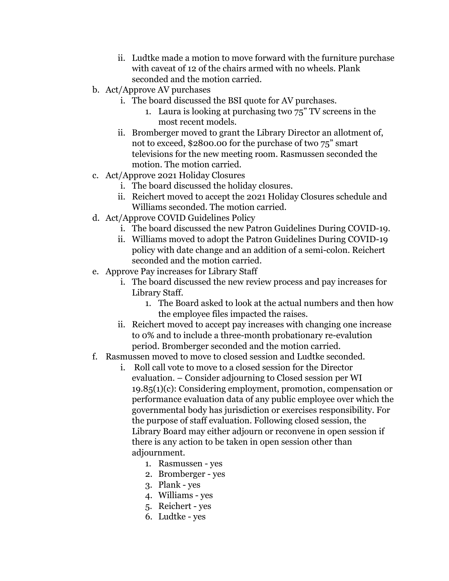- ii. Ludtke made a motion to move forward with the furniture purchase with caveat of 12 of the chairs armed with no wheels. Plank seconded and the motion carried.
- b. Act/Approve AV purchases
	- i. The board discussed the BSI quote for AV purchases.
		- 1. Laura is looking at purchasing two 75" TV screens in the most recent models.
	- ii. Bromberger moved to grant the Library Director an allotment of, not to exceed, \$2800.00 for the purchase of two 75" smart televisions for the new meeting room. Rasmussen seconded the motion. The motion carried.
- c. Act/Approve 2021 Holiday Closures
	- i. The board discussed the holiday closures.
	- ii. Reichert moved to accept the 2021 Holiday Closures schedule and Williams seconded. The motion carried.
- d. Act/Approve COVID Guidelines Policy
	- i. The board discussed the new Patron Guidelines During COVID-19.
	- ii. Williams moved to adopt the Patron Guidelines During COVID-19 policy with date change and an addition of a semi-colon. Reichert seconded and the motion carried.
- e. Approve Pay increases for Library Staff
	- i. The board discussed the new review process and pay increases for Library Staff.
		- 1. The Board asked to look at the actual numbers and then how the employee files impacted the raises.
	- ii. Reichert moved to accept pay increases with changing one increase to 0% and to include a three-month probationary re-evalution period. Bromberger seconded and the motion carried.
- f. Rasmussen moved to move to closed session and Ludtke seconded.
	- i. Roll call vote to move to a closed session for the Director evaluation. – Consider adjourning to Closed session per WI 19.85(1)(c): Considering employment, promotion, compensation or performance evaluation data of any public employee over which the governmental body has jurisdiction or exercises responsibility. For the purpose of staff evaluation. Following closed session, the Library Board may either adjourn or reconvene in open session if there is any action to be taken in open session other than adjournment.
		- 1. Rasmussen yes
		- 2. Bromberger yes
		- 3. Plank yes
		- 4. Williams yes
		- 5. Reichert yes
		- 6. Ludtke yes